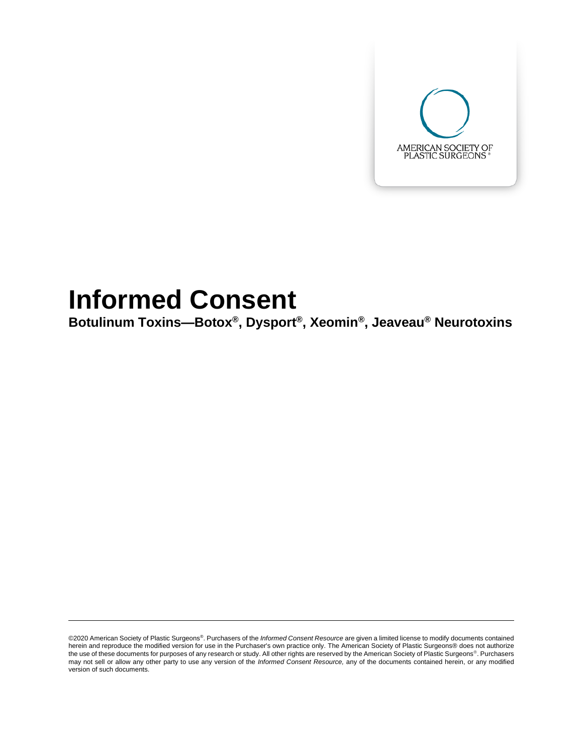

# **Informed Consent**

**Botulinum Toxins—Botox® , Dysport® , Xeomin® , Jeaveau® Neurotoxins**

<sup>©2020</sup> American Society of Plastic Surgeons®. Purchasers of the *Informed Consent Resource* are given a limited license to modify documents contained herein and reproduce the modified version for use in the Purchaser's own practice only. The American Society of Plastic Surgeons® does not authorize the use of these documents for purposes of any research or study. All other rights are reserved by the American Society of Plastic Surgeons®. Purchasers may not sell or allow any other party to use any version of the *Informed Consent Resource,* any of the documents contained herein, or any modified version of such documents.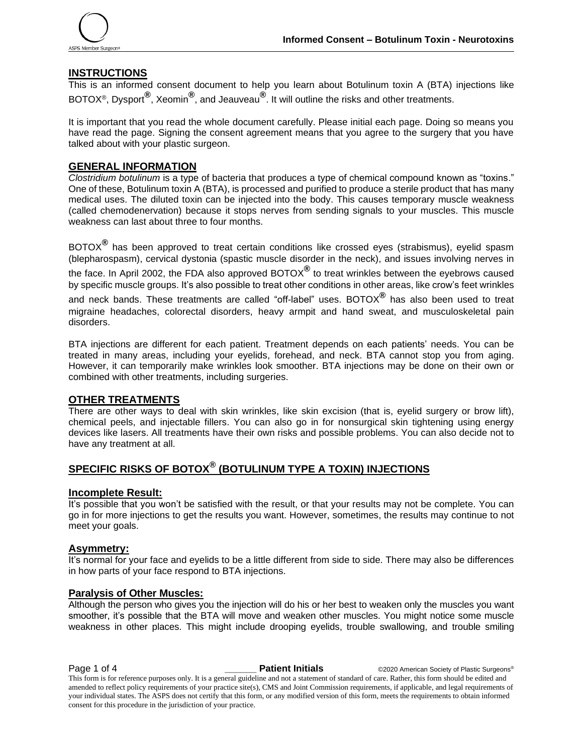

### **INSTRUCTIONS**

This is an informed consent document to help you learn about Botulinum toxin A (BTA) injections like BOTOX®, Dysport**®** , Xeomin**®** , and Jeauveau**®** . It will outline the risks and other treatments.

It is important that you read the whole document carefully. Please initial each page. Doing so means you have read the page. Signing the consent agreement means that you agree to the surgery that you have talked about with your plastic surgeon.

#### **GENERAL INFORMATION**

*Clostridium botulinum* is a type of bacteria that produces a type of chemical compound known as "toxins." One of these, Botulinum toxin A (BTA), is processed and purified to produce a sterile product that has many medical uses. The diluted toxin can be injected into the body. This causes temporary muscle weakness (called chemodenervation) because it stops nerves from sending signals to your muscles. This muscle weakness can last about three to four months.

BOTOX**®** has been approved to treat certain conditions like crossed eyes (strabismus), eyelid spasm (blepharospasm), cervical dystonia (spastic muscle disorder in the neck), and issues involving nerves in the face. In April 2002, the FDA also approved BOTOX**®** to treat wrinkles between the eyebrows caused by specific muscle groups. It's also possible to treat other conditions in other areas, like crow's feet wrinkles and neck bands. These treatments are called "off-label" uses. BOTOX**®** has also been used to treat migraine headaches, colorectal disorders, heavy armpit and hand sweat, and musculoskeletal pain disorders.

BTA injections are different for each patient. Treatment depends on each patients' needs. You can be treated in many areas, including your eyelids, forehead, and neck. BTA cannot stop you from aging. However, it can temporarily make wrinkles look smoother. BTA injections may be done on their own or combined with other treatments, including surgeries.

#### **OTHER TREATMENTS**

There are other ways to deal with skin wrinkles, like skin excision (that is, eyelid surgery or brow lift), chemical peels, and injectable fillers. You can also go in for nonsurgical skin tightening using energy devices like lasers. All treatments have their own risks and possible problems. You can also decide not to have any treatment at all.

# **SPECIFIC RISKS OF BOTOX® (BOTULINUM TYPE A TOXIN) INJECTIONS**

#### **Incomplete Result:**

It's possible that you won't be satisfied with the result, or that your results may not be complete. You can go in for more injections to get the results you want. However, sometimes, the results may continue to not meet your goals.

#### **Asymmetry:**

It's normal for your face and eyelids to be a little different from side to side. There may also be differences in how parts of your face respond to BTA injections.

#### **Paralysis of Other Muscles:**

Although the person who gives you the injection will do his or her best to weaken only the muscles you want smoother, it's possible that the BTA will move and weaken other muscles. You might notice some muscle weakness in other places. This might include drooping eyelids, trouble swallowing, and trouble smiling

**Page 1 of 4 Patient Initials**  $\bullet$  **Patient Initials**  $\bullet$  @2020 American Society of Plastic Surgeons®

This form is for reference purposes only. It is a general guideline and not a statement of standard of care. Rather, this form should be edited and amended to reflect policy requirements of your practice site(s), CMS and Joint Commission requirements, if applicable, and legal requirements of your individual states. The ASPS does not certify that this form, or any modified version of this form, meets the requirements to obtain informed consent for this procedure in the jurisdiction of your practice.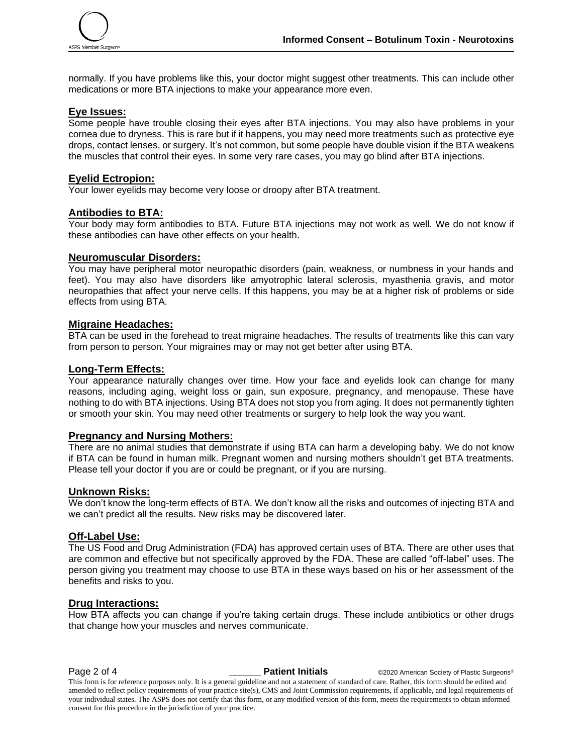

normally. If you have problems like this, your doctor might suggest other treatments. This can include other medications or more BTA injections to make your appearance more even.

#### **Eye Issues:**

Some people have trouble closing their eyes after BTA injections. You may also have problems in your cornea due to dryness. This is rare but if it happens, you may need more treatments such as protective eye drops, contact lenses, or surgery. It's not common, but some people have double vision if the BTA weakens the muscles that control their eyes. In some very rare cases, you may go blind after BTA injections.

#### **Eyelid Ectropion:**

Your lower eyelids may become very loose or droopy after BTA treatment.

# **Antibodies to BTA:**

Your body may form antibodies to BTA. Future BTA injections may not work as well. We do not know if these antibodies can have other effects on your health.

#### **Neuromuscular Disorders:**

You may have peripheral motor neuropathic disorders (pain, weakness, or numbness in your hands and feet). You may also have disorders like amyotrophic lateral sclerosis, myasthenia gravis, and motor neuropathies that affect your nerve cells. If this happens, you may be at a higher risk of problems or side effects from using BTA.

#### **Migraine Headaches:**

BTA can be used in the forehead to treat migraine headaches. The results of treatments like this can vary from person to person. Your migraines may or may not get better after using BTA.

#### **Long-Term Effects:**

Your appearance naturally changes over time. How your face and eyelids look can change for many reasons, including aging, weight loss or gain, sun exposure, pregnancy, and menopause. These have nothing to do with BTA injections. Using BTA does not stop you from aging. It does not permanently tighten or smooth your skin. You may need other treatments or surgery to help look the way you want.

#### **Pregnancy and Nursing Mothers:**

There are no animal studies that demonstrate if using BTA can harm a developing baby. We do not know if BTA can be found in human milk. Pregnant women and nursing mothers shouldn't get BTA treatments. Please tell your doctor if you are or could be pregnant, or if you are nursing.

#### **Unknown Risks:**

We don't know the long-term effects of BTA. We don't know all the risks and outcomes of injecting BTA and we can't predict all the results. New risks may be discovered later.

#### **Off-Label Use:**

The US Food and Drug Administration (FDA) has approved certain uses of BTA. There are other uses that are common and effective but not specifically approved by the FDA. These are called "off-label" uses. The person giving you treatment may choose to use BTA in these ways based on his or her assessment of the benefits and risks to you.

#### **Drug Interactions:**

How BTA affects you can change if you're taking certain drugs. These include antibiotics or other drugs that change how your muscles and nerves communicate.

**Page 2 of 4 Patient Initials COVID-2020** American Society of Plastic Surgeons®

This form is for reference purposes only. It is a general guideline and not a statement of standard of care. Rather, this form should be edited and amended to reflect policy requirements of your practice site(s), CMS and Joint Commission requirements, if applicable, and legal requirements of your individual states. The ASPS does not certify that this form, or any modified version of this form, meets the requirements to obtain informed consent for this procedure in the jurisdiction of your practice.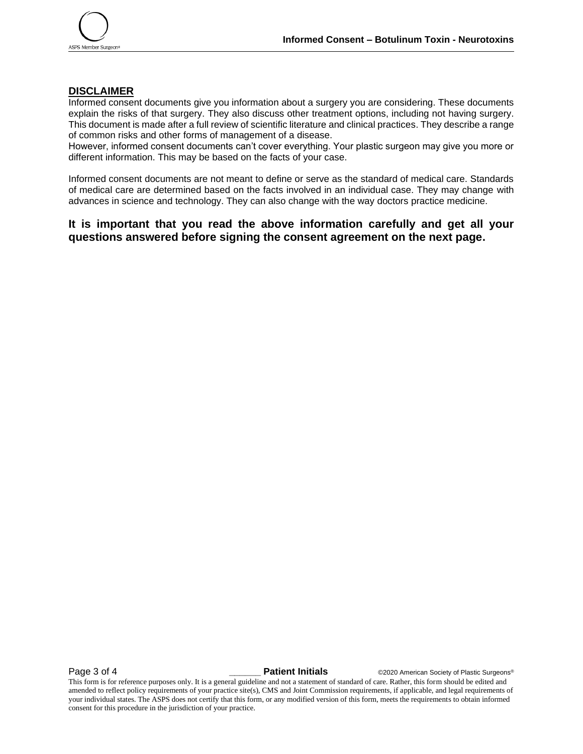## **DISCLAIMER**

Informed consent documents give you information about a surgery you are considering. These documents explain the risks of that surgery. They also discuss other treatment options, including not having surgery. This document is made after a full review of scientific literature and clinical practices. They describe a range of common risks and other forms of management of a disease.

However, informed consent documents can't cover everything. Your plastic surgeon may give you more or different information. This may be based on the facts of your case.

Informed consent documents are not meant to define or serve as the standard of medical care. Standards of medical care are determined based on the facts involved in an individual case. They may change with advances in science and technology. They can also change with the way doctors practice medicine.

# **It is important that you read the above information carefully and get all your questions answered before signing the consent agreement on the next page.**

**Page 3 of 4 Patient Initials COVID-2020** American Society of Plastic Surgeons®

This form is for reference purposes only. It is a general guideline and not a statement of standard of care. Rather, this form should be edited and amended to reflect policy requirements of your practice site(s), CMS and Joint Commission requirements, if applicable, and legal requirements of your individual states. The ASPS does not certify that this form, or any modified version of this form, meets the requirements to obtain informed consent for this procedure in the jurisdiction of your practice.